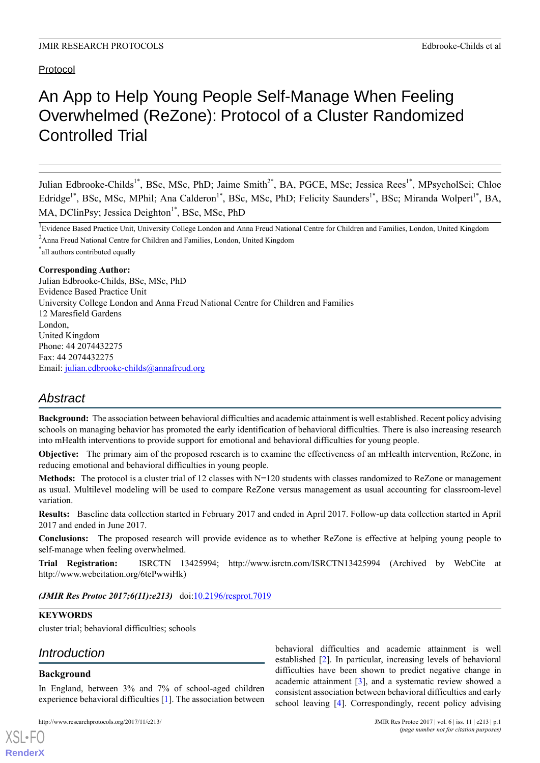# An App to Help Young People Self-Manage When Feeling Overwhelmed (ReZone): Protocol of a Cluster Randomized Controlled Trial

Julian Edbrooke-Childs<sup>1\*</sup>, BSc, MSc, PhD; Jaime Smith<sup>2\*</sup>, BA, PGCE, MSc; Jessica Rees<sup>1\*</sup>, MPsycholSci; Chloe Edridge<sup>1\*</sup>, BSc, MSc, MPhil; Ana Calderon<sup>1\*</sup>, BSc, MSc, PhD; Felicity Saunders<sup>1\*</sup>, BSc; Miranda Wolpert<sup>1\*</sup>, BA, MA, DClinPsy; Jessica Deighton<sup>1\*</sup>, BSc, MSc, PhD

<sup>1</sup>Evidence Based Practice Unit, University College London and Anna Freud National Centre for Children and Families, London, United Kingdom <sup>2</sup>Anna Freud National Centre for Children and Families, London, United Kingdom

\* all authors contributed equally

## **Corresponding Author:**

Julian Edbrooke-Childs, BSc, MSc, PhD Evidence Based Practice Unit University College London and Anna Freud National Centre for Children and Families 12 Maresfield Gardens London, United Kingdom Phone: 44 2074432275 Fax: 44 2074432275 Email: [julian.edbrooke-childs@annafreud.org](mailto:julian.edbrooke-childs@annafreud.org)

# *Abstract*

**Background:** The association between behavioral difficulties and academic attainment is well established. Recent policy advising schools on managing behavior has promoted the early identification of behavioral difficulties. There is also increasing research into mHealth interventions to provide support for emotional and behavioral difficulties for young people.

**Objective:** The primary aim of the proposed research is to examine the effectiveness of an mHealth intervention, ReZone, in reducing emotional and behavioral difficulties in young people.

**Methods:** The protocol is a cluster trial of 12 classes with N=120 students with classes randomized to ReZone or management as usual. Multilevel modeling will be used to compare ReZone versus management as usual accounting for classroom-level variation.

**Results:** Baseline data collection started in February 2017 and ended in April 2017. Follow-up data collection started in April 2017 and ended in June 2017.

**Conclusions:** The proposed research will provide evidence as to whether ReZone is effective at helping young people to self-manage when feeling overwhelmed.

**Trial Registration:** ISRCTN 13425994; http://www.isrctn.com/ISRCTN13425994 (Archived by WebCite at http://www.webcitation.org/6tePwwiHk)

*(JMIR Res Protoc 2017;6(11):e213)* doi:*[10.2196/resprot.7019](http://dx.doi.org/10.2196/resprot.7019)* 

#### **KEYWORDS**

cluster trial; behavioral difficulties; schools

# *Introduction*

#### **Background**

[XSL](http://www.w3.org/Style/XSL)•FO **[RenderX](http://www.renderx.com/)**

In England, between 3% and 7% of school-aged children experience behavioral difficulties [[1\]](#page-7-0). The association between

behavioral difficulties and academic attainment is well established [\[2](#page-7-1)]. In particular, increasing levels of behavioral difficulties have been shown to predict negative change in academic attainment [[3\]](#page-7-2), and a systematic review showed a consistent association between behavioral difficulties and early school leaving [[4](#page-7-3)]. Correspondingly, recent policy advising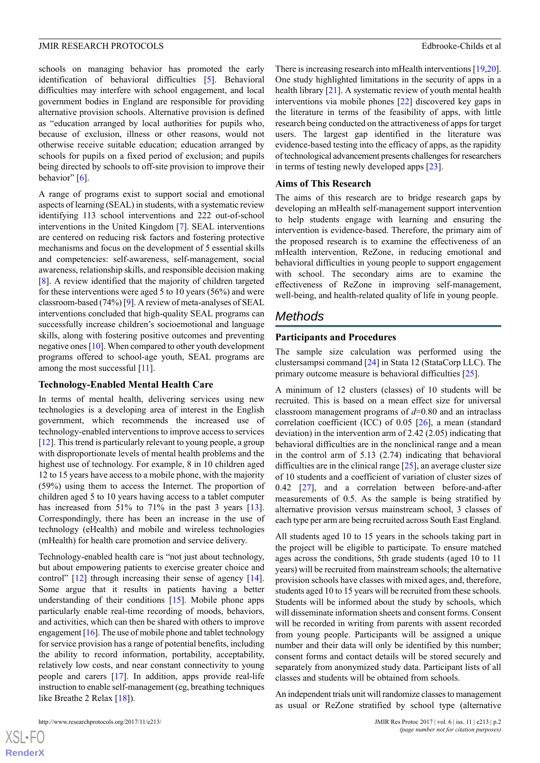schools on managing behavior has promoted the early identification of behavioral difficulties [\[5](#page-7-4)]. Behavioral difficulties may interfere with school engagement, and local government bodies in England are responsible for providing alternative provision schools. Alternative provision is defined as "education arranged by local authorities for pupils who, because of exclusion, illness or other reasons, would not otherwise receive suitable education; education arranged by schools for pupils on a fixed period of exclusion; and pupils being directed by schools to off-site provision to improve their behavior" [[6\]](#page-7-5).

A range of programs exist to support social and emotional aspects of learning (SEAL) in students, with a systematic review identifying 113 school interventions and 222 out-of-school interventions in the United Kingdom [[7\]](#page-7-6). SEAL interventions are centered on reducing risk factors and fostering protective mechanisms and focus on the development of 5 essential skills and competencies: self-awareness, self-management, social awareness, relationship skills, and responsible decision making [[8\]](#page-7-7). A review identified that the majority of children targeted for these interventions were aged 5 to 10 years (56%) and were classroom-based (74%) [\[9](#page-7-8)]. A review of meta-analyses of SEAL interventions concluded that high-quality SEAL programs can successfully increase children's socioemotional and language skills, along with fostering positive outcomes and preventing negative ones [\[10\]](#page-7-9). When compared to other youth development programs offered to school-age youth, SEAL programs are among the most successful [[11](#page-7-10)].

#### **Technology-Enabled Mental Health Care**

In terms of mental health, delivering services using new technologies is a developing area of interest in the English government, which recommends the increased use of technology-enabled interventions to improve access to services [[12\]](#page-7-11). This trend is particularly relevant to young people, a group with disproportionate levels of mental health problems and the highest use of technology. For example, 8 in 10 children aged 12 to 15 years have access to a mobile phone, with the majority (59%) using them to access the Internet. The proportion of children aged 5 to 10 years having access to a tablet computer has increased from 51% to 71% in the past 3 years [[13\]](#page-7-12). Correspondingly, there has been an increase in the use of technology (eHealth) and mobile and wireless technologies (mHealth) for health care promotion and service delivery.

Technology-enabled health care is "not just about technology, but about empowering patients to exercise greater choice and control" [[12\]](#page-7-11) through increasing their sense of agency [[14\]](#page-7-13). Some argue that it results in patients having a better understanding of their conditions [[15\]](#page-7-14). Mobile phone apps particularly enable real-time recording of moods, behaviors, and activities, which can then be shared with others to improve engagement  $[16]$  $[16]$ . The use of mobile phone and tablet technology for service provision has a range of potential benefits, including the ability to record information, portability, acceptability, relatively low costs, and near constant connectivity to young people and carers [\[17](#page-8-0)]. In addition, apps provide real-life instruction to enable self-management (eg, breathing techniques like Breathe 2 Relax [\[18](#page-8-1)]).

There is increasing research into mHealth interventions [[19,](#page-8-2)[20](#page-8-3)]. One study highlighted limitations in the security of apps in a health library [\[21](#page-8-4)]. A systematic review of youth mental health interventions via mobile phones [[22\]](#page-8-5) discovered key gaps in the literature in terms of the feasibility of apps, with little research being conducted on the attractiveness of apps for target users. The largest gap identified in the literature was evidence-based testing into the efficacy of apps, as the rapidity of technological advancement presents challenges for researchers in terms of testing newly developed apps [\[23](#page-8-6)].

#### **Aims of This Research**

The aims of this research are to bridge research gaps by developing an mHealth self-management support intervention to help students engage with learning and ensuring the intervention is evidence-based. Therefore, the primary aim of the proposed research is to examine the effectiveness of an mHealth intervention, ReZone, in reducing emotional and behavioral difficulties in young people to support engagement with school. The secondary aims are to examine the effectiveness of ReZone in improving self-management, well-being, and health-related quality of life in young people.

## *Methods*

#### **Participants and Procedures**

The sample size calculation was performed using the clustersampsi command [\[24](#page-8-7)] in Stata 12 (StataCorp LLC). The primary outcome measure is behavioral difficulties [\[25](#page-8-8)].

A minimum of 12 clusters (classes) of 10 students will be recruited. This is based on a mean effect size for universal classroom management programs of *d*=0.80 and an intraclass correlation coefficient (ICC) of 0.05 [[26\]](#page-8-9), a mean (standard deviation) in the intervention arm of 2.42 (2.05) indicating that behavioral difficulties are in the nonclinical range and a mean in the control arm of 5.13 (2.74) indicating that behavioral difficulties are in the clinical range  $[25]$  $[25]$ , an average cluster size of 10 students and a coefficient of variation of cluster sizes of 0.42 [\[27](#page-8-10)], and a correlation between before-and-after measurements of 0.5. As the sample is being stratified by alternative provision versus mainstream school, 3 classes of each type per arm are being recruited across South East England.

All students aged 10 to 15 years in the schools taking part in the project will be eligible to participate. To ensure matched ages across the conditions, 5th grade students (aged 10 to 11 years) will be recruited from mainstream schools; the alternative provision schools have classes with mixed ages, and, therefore, students aged 10 to 15 years will be recruited from these schools. Students will be informed about the study by schools, which will disseminate information sheets and consent forms. Consent will be recorded in writing from parents with assent recorded from young people. Participants will be assigned a unique number and their data will only be identified by this number; consent forms and contact details will be stored securely and separately from anonymized study data. Participant lists of all classes and students will be obtained from schools.

An independent trials unit will randomize classes to management as usual or ReZone stratified by school type (alternative

 $XS$ -FO **[RenderX](http://www.renderx.com/)**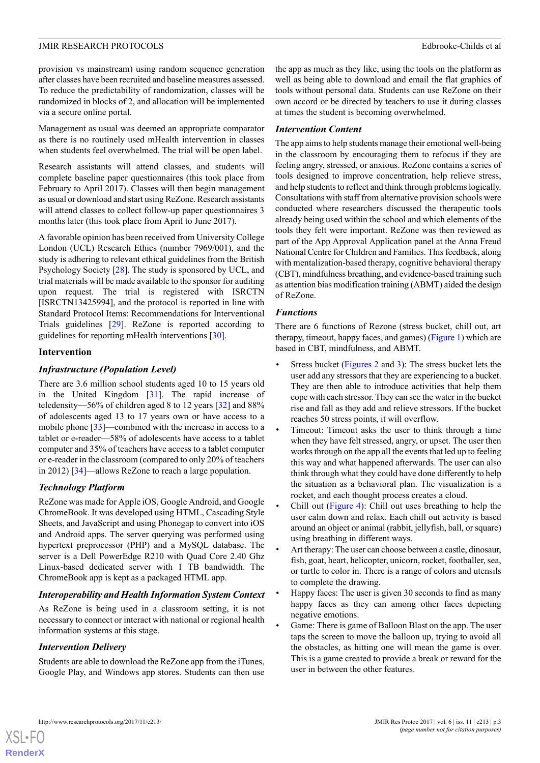provision vs mainstream) using random sequence generation after classes have been recruited and baseline measures assessed. To reduce the predictability of randomization, classes will be randomized in blocks of 2, and allocation will be implemented via a secure online portal.

Management as usual was deemed an appropriate comparator as there is no routinely used mHealth intervention in classes when students feel overwhelmed. The trial will be open label.

Research assistants will attend classes, and students will complete baseline paper questionnaires (this took place from February to April 2017). Classes will then begin management as usual or download and start using ReZone. Research assistants will attend classes to collect follow-up paper questionnaires 3 months later (this took place from April to June 2017).

A favorable opinion has been received from University College London (UCL) Research Ethics (number 7969/001), and the study is adhering to relevant ethical guidelines from the British Psychology Society [\[28](#page-8-11)]. The study is sponsored by UCL, and trial materials will be made available to the sponsor for auditing upon request. The trial is registered with ISRCTN [ISRCTN13425994], and the protocol is reported in line with Standard Protocol Items: Recommendations for Interventional Trials guidelines [\[29](#page-8-12)]. ReZone is reported according to guidelines for reporting mHealth interventions [\[30](#page-8-13)].

#### **Intervention**

#### *Infrastructure (Population Level)*

There are 3.6 million school students aged 10 to 15 years old in the United Kingdom [[31\]](#page-8-14). The rapid increase of teledensity—56% of children aged 8 to 12 years [[32\]](#page-8-15) and 88% of adolescents aged 13 to 17 years own or have access to a mobile phone [\[33](#page-8-16)]—combined with the increase in access to a tablet or e-reader—58% of adolescents have access to a tablet computer and 35% of teachers have access to a tablet computer or e-reader in the classroom (compared to only 20% of teachers in 2012) [[34\]](#page-8-17)—allows ReZone to reach a large population.

#### *Technology Platform*

ReZone was made for Apple iOS, Google Android, and Google ChromeBook. It was developed using HTML, Cascading Style Sheets, and JavaScript and using Phonegap to convert into iOS and Android apps. The server querying was performed using hypertext preprocessor (PHP) and a MySQL database. The server is a Dell PowerEdge R210 with Quad Core 2.40 Ghz Linux-based dedicated server with 1 TB bandwidth. The ChromeBook app is kept as a packaged HTML app.

#### *Interoperability and Health Information System Context*

As ReZone is being used in a classroom setting, it is not necessary to connect or interact with national or regional health information systems at this stage.

#### *Intervention Delivery*

[XSL](http://www.w3.org/Style/XSL)•FO **[RenderX](http://www.renderx.com/)**

Students are able to download the ReZone app from the iTunes, Google Play, and Windows app stores. Students can then use the app as much as they like, using the tools on the platform as well as being able to download and email the flat graphics of tools without personal data. Students can use ReZone on their own accord or be directed by teachers to use it during classes at times the student is becoming overwhelmed.

#### *Intervention Content*

The app aims to help students manage their emotional well-being in the classroom by encouraging them to refocus if they are feeling angry, stressed, or anxious. ReZone contains a series of tools designed to improve concentration, help relieve stress, and help students to reflect and think through problems logically. Consultations with staff from alternative provision schools were conducted where researchers discussed the therapeutic tools already being used within the school and which elements of the tools they felt were important. ReZone was then reviewed as part of the App Approval Application panel at the Anna Freud National Centre for Children and Families. This feedback, along with mentalization-based therapy, cognitive behavioral therapy (CBT), mindfulness breathing, and evidence-based training such as attention bias modification training (ABMT) aided the design of ReZone.

#### *Functions*

There are 6 functions of Rezone (stress bucket, chill out, art therapy, timeout, happy faces, and games) [\(Figure 1\)](#page-3-0) which are based in CBT, mindfulness, and ABMT.

- Stress bucket ([Figures 2](#page-3-1) and [3\)](#page-4-0): The stress bucket lets the user add any stressors that they are experiencing to a bucket. They are then able to introduce activities that help them cope with each stressor. They can see the water in the bucket rise and fall as they add and relieve stressors. If the bucket reaches 50 stress points, it will overflow.
- Timeout: Timeout asks the user to think through a time when they have felt stressed, angry, or upset. The user then works through on the app all the events that led up to feeling this way and what happened afterwards. The user can also think through what they could have done differently to help the situation as a behavioral plan. The visualization is a rocket, and each thought process creates a cloud.
- Chill out ([Figure 4](#page-4-1)): Chill out uses breathing to help the user calm down and relax. Each chill out activity is based around an object or animal (rabbit, jellyfish, ball, or square) using breathing in different ways.
- Art therapy: The user can choose between a castle, dinosaur, fish, goat, heart, helicopter, unicorn, rocket, footballer, sea, or turtle to color in. There is a range of colors and utensils to complete the drawing.
- Happy faces: The user is given 30 seconds to find as many happy faces as they can among other faces depicting negative emotions.
- Game: There is game of Balloon Blast on the app. The user taps the screen to move the balloon up, trying to avoid all the obstacles, as hitting one will mean the game is over. This is a game created to provide a break or reward for the user in between the other features.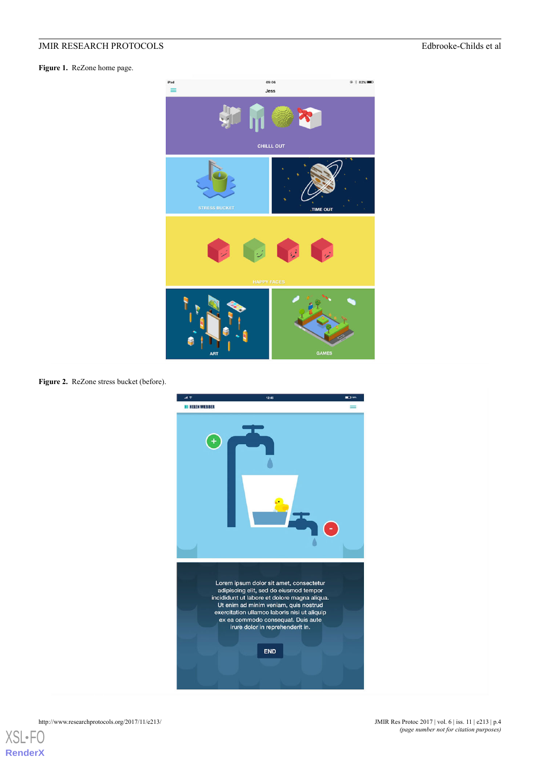<span id="page-3-0"></span>**Figure 1.** ReZone home page.



<span id="page-3-1"></span>Figure 2. ReZone stress bucket (before).

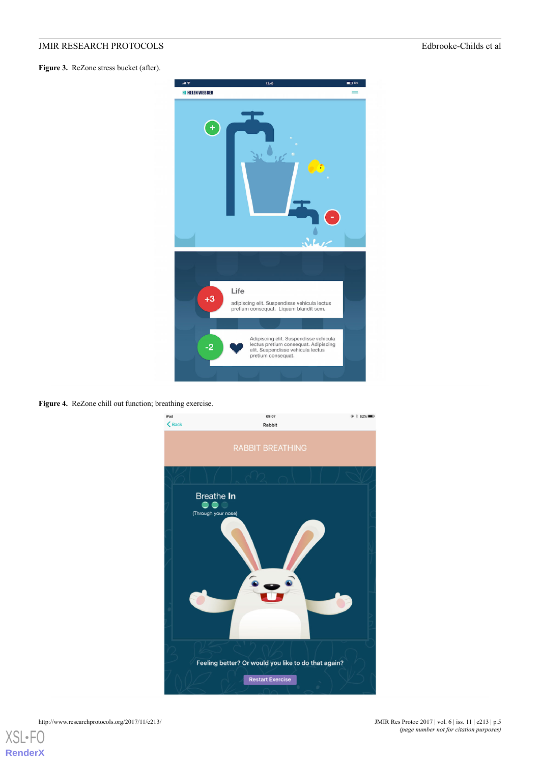<span id="page-4-0"></span>**Figure 3.** ReZone stress bucket (after).



<span id="page-4-1"></span>**Figure 4.** ReZone chill out function; breathing exercise.

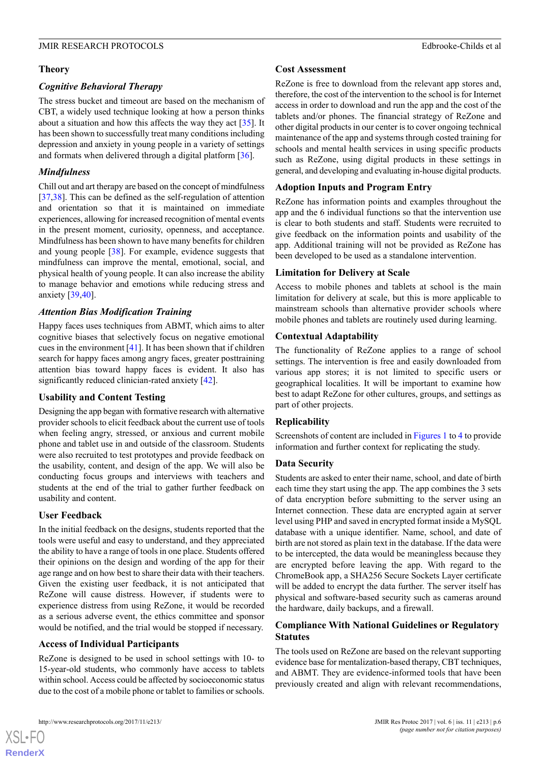#### **Theory**

#### *Cognitive Behavioral Therapy*

The stress bucket and timeout are based on the mechanism of CBT, a widely used technique looking at how a person thinks about a situation and how this affects the way they act [[35\]](#page-8-18). It has been shown to successfully treat many conditions including depression and anxiety in young people in a variety of settings and formats when delivered through a digital platform [\[36](#page-8-19)].

## *Mindfulness*

Chill out and art therapy are based on the concept of mindfulness [[37](#page-8-20)[,38](#page-8-21)]. This can be defined as the self-regulation of attention and orientation so that it is maintained on immediate experiences, allowing for increased recognition of mental events in the present moment, curiosity, openness, and acceptance. Mindfulness has been shown to have many benefits for children and young people [[38\]](#page-8-21). For example, evidence suggests that mindfulness can improve the mental, emotional, social, and physical health of young people. It can also increase the ability to manage behavior and emotions while reducing stress and anxiety [[39,](#page-8-22)[40](#page-8-23)].

## *Attention Bias Modification Training*

Happy faces uses techniques from ABMT, which aims to alter cognitive biases that selectively focus on negative emotional cues in the environment [[41\]](#page-9-0). It has been shown that if children search for happy faces among angry faces, greater posttraining attention bias toward happy faces is evident. It also has significantly reduced clinician-rated anxiety [\[42](#page-9-1)].

## **Usability and Content Testing**

Designing the app began with formative research with alternative provider schools to elicit feedback about the current use of tools when feeling angry, stressed, or anxious and current mobile phone and tablet use in and outside of the classroom. Students were also recruited to test prototypes and provide feedback on the usability, content, and design of the app. We will also be conducting focus groups and interviews with teachers and students at the end of the trial to gather further feedback on usability and content.

## **User Feedback**

In the initial feedback on the designs, students reported that the tools were useful and easy to understand, and they appreciated the ability to have a range of tools in one place. Students offered their opinions on the design and wording of the app for their age range and on how best to share their data with their teachers. Given the existing user feedback, it is not anticipated that ReZone will cause distress. However, if students were to experience distress from using ReZone, it would be recorded as a serious adverse event, the ethics committee and sponsor would be notified, and the trial would be stopped if necessary.

#### **Access of Individual Participants**

ReZone is designed to be used in school settings with 10- to 15-year-old students, who commonly have access to tablets within school. Access could be affected by socioeconomic status due to the cost of a mobile phone or tablet to families or schools.

#### **Cost Assessment**

ReZone is free to download from the relevant app stores and, therefore, the cost of the intervention to the school is for Internet access in order to download and run the app and the cost of the tablets and/or phones. The financial strategy of ReZone and other digital products in our center is to cover ongoing technical maintenance of the app and systems through costed training for schools and mental health services in using specific products such as ReZone, using digital products in these settings in general, and developing and evaluating in-house digital products.

## **Adoption Inputs and Program Entry**

ReZone has information points and examples throughout the app and the 6 individual functions so that the intervention use is clear to both students and staff. Students were recruited to give feedback on the information points and usability of the app. Additional training will not be provided as ReZone has been developed to be used as a standalone intervention.

## **Limitation for Delivery at Scale**

Access to mobile phones and tablets at school is the main limitation for delivery at scale, but this is more applicable to mainstream schools than alternative provider schools where mobile phones and tablets are routinely used during learning.

## **Contextual Adaptability**

The functionality of ReZone applies to a range of school settings. The intervention is free and easily downloaded from various app stores; it is not limited to specific users or geographical localities. It will be important to examine how best to adapt ReZone for other cultures, groups, and settings as part of other projects.

#### **Replicability**

Screenshots of content are included in [Figures 1](#page-3-0) to [4](#page-4-1) to provide information and further context for replicating the study.

#### **Data Security**

Students are asked to enter their name, school, and date of birth each time they start using the app. The app combines the 3 sets of data encryption before submitting to the server using an Internet connection. These data are encrypted again at server level using PHP and saved in encrypted format inside a MySQL database with a unique identifier. Name, school, and date of birth are not stored as plain text in the database. If the data were to be intercepted, the data would be meaningless because they are encrypted before leaving the app. With regard to the ChromeBook app, a SHA256 Secure Sockets Layer certificate will be added to encrypt the data further. The server itself has physical and software-based security such as cameras around the hardware, daily backups, and a firewall.

#### **Compliance With National Guidelines or Regulatory Statutes**

The tools used on ReZone are based on the relevant supporting evidence base for mentalization-based therapy, CBT techniques, and ABMT. They are evidence-informed tools that have been previously created and align with relevant recommendations,

 $XS$ -FO **[RenderX](http://www.renderx.com/)**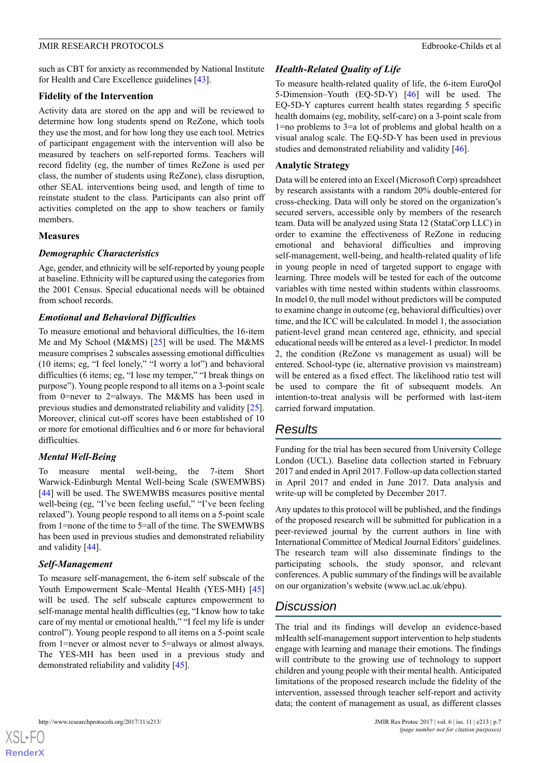such as CBT for anxiety as recommended by National Institute for Health and Care Excellence guidelines [\[43](#page-9-2)].

#### **Fidelity of the Intervention**

Activity data are stored on the app and will be reviewed to determine how long students spend on ReZone, which tools they use the most, and for how long they use each tool. Metrics of participant engagement with the intervention will also be measured by teachers on self-reported forms. Teachers will record fidelity (eg, the number of times ReZone is used per class, the number of students using ReZone), class disruption, other SEAL interventions being used, and length of time to reinstate student to the class. Participants can also print off activities completed on the app to show teachers or family members.

#### **Measures**

#### *Demographic Characteristics*

Age, gender, and ethnicity will be self-reported by young people at baseline. Ethnicity will be captured using the categories from the 2001 Census. Special educational needs will be obtained from school records.

#### *Emotional and Behavioral Difficulties*

To measure emotional and behavioral difficulties, the 16-item Me and My School (M&MS) [\[25](#page-8-8)] will be used. The M&MS measure comprises 2 subscales assessing emotional difficulties (10 items; eg, "I feel lonely," "I worry a lot") and behavioral difficulties (6 items; eg, "I lose my temper," "I break things on purpose"). Young people respond to all items on a 3-point scale from 0=never to 2=always. The M&MS has been used in previous studies and demonstrated reliability and validity [[25\]](#page-8-8). Moreover, clinical cut-off scores have been established of 10 or more for emotional difficulties and 6 or more for behavioral difficulties.

#### *Mental Well-Being*

To measure mental well-being, the 7-item Short Warwick-Edinburgh Mental Well-being Scale (SWEMWBS) [[44\]](#page-9-3) will be used. The SWEMWBS measures positive mental well-being (eg, "I've been feeling useful," "I've been feeling relaxed"). Young people respond to all items on a 5-point scale from 1=none of the time to 5=all of the time. The SWEMWBS has been used in previous studies and demonstrated reliability and validity [[44\]](#page-9-3).

#### *Self-Management*

To measure self-management, the 6-item self subscale of the Youth Empowerment Scale–Mental Health (YES-MH) [\[45](#page-9-4)] will be used. The self subscale captures empowerment to self-manage mental health difficulties (eg, "I know how to take care of my mental or emotional health," "I feel my life is under control"). Young people respond to all items on a 5-point scale from 1=never or almost never to 5=always or almost always. The YES-MH has been used in a previous study and demonstrated reliability and validity [\[45](#page-9-4)].

## *Health-Related Quality of Life*

To measure health-related quality of life, the 6-item EuroQol 5-Dimension–Youth (EQ-5D-Y) [[46\]](#page-9-5) will be used. The EQ-5D-Y captures current health states regarding 5 specific health domains (eg, mobility, self-care) on a 3-point scale from 1=no problems to 3=a lot of problems and global health on a visual analog scale. The EQ-5D-Y has been used in previous studies and demonstrated reliability and validity [[46\]](#page-9-5).

#### **Analytic Strategy**

Data will be entered into an Excel (Microsoft Corp) spreadsheet by research assistants with a random 20% double-entered for cross-checking. Data will only be stored on the organization's secured servers, accessible only by members of the research team. Data will be analyzed using Stata 12 (StataCorp LLC) in order to examine the effectiveness of ReZone in reducing emotional and behavioral difficulties and improving self-management, well-being, and health-related quality of life in young people in need of targeted support to engage with learning. Three models will be tested for each of the outcome variables with time nested within students within classrooms. In model 0, the null model without predictors will be computed to examine change in outcome (eg, behavioral difficulties) over time, and the ICC will be calculated. In model 1, the association patient-level grand mean centered age, ethnicity, and special educational needs will be entered as a level-1 predictor. In model 2, the condition (ReZone vs management as usual) will be entered. School-type (ie, alternative provision vs mainstream) will be entered as a fixed effect. The likelihood ratio test will be used to compare the fit of subsequent models. An intention-to-treat analysis will be performed with last-item carried forward imputation.

# *Results*

Funding for the trial has been secured from University College London (UCL). Baseline data collection started in February 2017 and ended in April 2017. Follow-up data collection started in April 2017 and ended in June 2017. Data analysis and write-up will be completed by December 2017.

Any updates to this protocol will be published, and the findings of the proposed research will be submitted for publication in a peer-reviewed journal by the current authors in line with International Committee of Medical Journal Editors' guidelines. The research team will also disseminate findings to the participating schools, the study sponsor, and relevant conferences. A public summary of the findings will be available on our organization's website (www.ucl.ac.uk/ebpu).

# *Discussion*

The trial and its findings will develop an evidence-based mHealth self-management support intervention to help students engage with learning and manage their emotions. The findings will contribute to the growing use of technology to support children and young people with their mental health. Anticipated limitations of the proposed research include the fidelity of the intervention, assessed through teacher self-report and activity data; the content of management as usual, as different classes

 $XS$ -FO **[RenderX](http://www.renderx.com/)**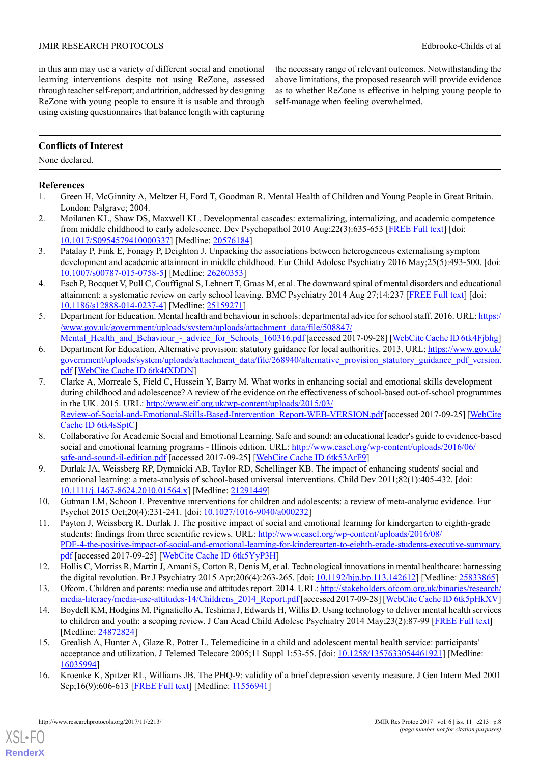in this arm may use a variety of different social and emotional learning interventions despite not using ReZone, assessed through teacher self-report; and attrition, addressed by designing ReZone with young people to ensure it is usable and through using existing questionnaires that balance length with capturing

the necessary range of relevant outcomes. Notwithstanding the above limitations, the proposed research will provide evidence as to whether ReZone is effective in helping young people to self-manage when feeling overwhelmed.

## **Conflicts of Interest**

None declared.

## <span id="page-7-0"></span>**References**

- <span id="page-7-1"></span>1. Green H, McGinnity A, Meltzer H, Ford T, Goodman R. Mental Health of Children and Young People in Great Britain. London: Palgrave; 2004.
- <span id="page-7-2"></span>2. Moilanen KL, Shaw DS, Maxwell KL. Developmental cascades: externalizing, internalizing, and academic competence from middle childhood to early adolescence. Dev Psychopathol 2010 Aug;22(3):635-653 [[FREE Full text](http://europepmc.org/abstract/MED/20576184)] [doi: [10.1017/S0954579410000337](http://dx.doi.org/10.1017/S0954579410000337)] [Medline: [20576184](http://www.ncbi.nlm.nih.gov/entrez/query.fcgi?cmd=Retrieve&db=PubMed&list_uids=20576184&dopt=Abstract)]
- <span id="page-7-3"></span>3. Patalay P, Fink E, Fonagy P, Deighton J. Unpacking the associations between heterogeneous externalising symptom development and academic attainment in middle childhood. Eur Child Adolesc Psychiatry 2016 May;25(5):493-500. [doi: [10.1007/s00787-015-0758-5\]](http://dx.doi.org/10.1007/s00787-015-0758-5) [Medline: [26260353](http://www.ncbi.nlm.nih.gov/entrez/query.fcgi?cmd=Retrieve&db=PubMed&list_uids=26260353&dopt=Abstract)]
- <span id="page-7-4"></span>4. Esch P, Bocquet V, Pull C, Couffignal S, Lehnert T, Graas M, et al. The downward spiral of mental disorders and educational attainment: a systematic review on early school leaving. BMC Psychiatry 2014 Aug 27;14:237 [\[FREE Full text\]](https://bmcpsychiatry.biomedcentral.com/articles/10.1186/s12888-014-0237-4) [doi: [10.1186/s12888-014-0237-4](http://dx.doi.org/10.1186/s12888-014-0237-4)] [Medline: [25159271](http://www.ncbi.nlm.nih.gov/entrez/query.fcgi?cmd=Retrieve&db=PubMed&list_uids=25159271&dopt=Abstract)]
- <span id="page-7-5"></span>5. Department for Education. Mental health and behaviour in schools: departmental advice for school staff. 2016. URL: [https:/](https://www.gov.uk/government/uploads/system/uploads/attachment_data/file/508847/Mental_Health_and_Behaviour_-_advice_for_Schools_160316.pdf) [/www.gov.uk/government/uploads/system/uploads/attachment\\_data/file/508847/](https://www.gov.uk/government/uploads/system/uploads/attachment_data/file/508847/Mental_Health_and_Behaviour_-_advice_for_Schools_160316.pdf) [Mental\\_Health\\_and\\_Behaviour\\_-\\_advice\\_for\\_Schools\\_160316.pdf](https://www.gov.uk/government/uploads/system/uploads/attachment_data/file/508847/Mental_Health_and_Behaviour_-_advice_for_Schools_160316.pdf) [accessed 2017-09-28] [[WebCite Cache ID 6tk4Fjbhg](http://www.webcitation.org/6tk4Fjbhg)]
- <span id="page-7-6"></span>6. Department for Education. Alternative provision: statutory guidance for local authorities. 2013. URL: [https://www.gov.uk/](https://www.gov.uk/government/uploads/system/uploads/attachment_data/file/268940/alternative_provision_statutory_guidance_pdf_version.pdf) [government/uploads/system/uploads/attachment\\_data/file/268940/alternative\\_provision\\_statutory\\_guidance\\_pdf\\_version.](https://www.gov.uk/government/uploads/system/uploads/attachment_data/file/268940/alternative_provision_statutory_guidance_pdf_version.pdf) [pdf](https://www.gov.uk/government/uploads/system/uploads/attachment_data/file/268940/alternative_provision_statutory_guidance_pdf_version.pdf) [[WebCite Cache ID 6tk4fXDDN](http://www.webcitation.org/6tk4fXDDN)]
- <span id="page-7-7"></span>7. Clarke A, Morreale S, Field C, Hussein Y, Barry M. What works in enhancing social and emotional skills development during childhood and adolescence? A review of the evidence on the effectiveness of school-based out-of-school programmes in the UK. 2015. URL: [http://www.eif.org.uk/wp-content/uploads/2015/03/](http://www.eif.org.uk/wp-content/uploads/2015/03/Review-of-Social-and-Emotional-Skills-Based-Intervention_Report-WEB-VERSION.pdf) [Review-of-Social-and-Emotional-Skills-Based-Intervention\\_Report-WEB-VERSION.pdf](http://www.eif.org.uk/wp-content/uploads/2015/03/Review-of-Social-and-Emotional-Skills-Based-Intervention_Report-WEB-VERSION.pdf) [accessed 2017-09-25] [\[WebCite](http://www.webcitation.org/6tk4sSptC) [Cache ID 6tk4sSptC\]](http://www.webcitation.org/6tk4sSptC)
- <span id="page-7-9"></span><span id="page-7-8"></span>8. Collaborative for Academic Social and Emotional Learning. Safe and sound: an educational leader's guide to evidence-based social and emotional learning programs - Illinois edition. URL: [http://www.casel.org/wp-content/uploads/2016/06/](http://www.casel.org/wp-content/uploads/2016/06/safe-and-sound-il-edition.pdf) [safe-and-sound-il-edition.pdf](http://www.casel.org/wp-content/uploads/2016/06/safe-and-sound-il-edition.pdf) [accessed 2017-09-25] [\[WebCite Cache ID 6tk53ArF9](http://www.webcitation.org/6tk53ArF9)]
- <span id="page-7-10"></span>9. Durlak JA, Weissberg RP, Dymnicki AB, Taylor RD, Schellinger KB. The impact of enhancing students' social and emotional learning: a meta-analysis of school-based universal interventions. Child Dev 2011;82(1):405-432. [doi: [10.1111/j.1467-8624.2010.01564.x\]](http://dx.doi.org/10.1111/j.1467-8624.2010.01564.x) [Medline: [21291449](http://www.ncbi.nlm.nih.gov/entrez/query.fcgi?cmd=Retrieve&db=PubMed&list_uids=21291449&dopt=Abstract)]
- <span id="page-7-11"></span>10. Gutman LM, Schoon I. Preventive interventions for children and adolescents: a review of meta-analytuc evidence. Eur Psychol 2015 Oct;20(4):231-241. [doi: [10.1027/1016-9040/a000232](http://dx.doi.org/10.1027/1016-9040/a000232)]
- <span id="page-7-12"></span>11. Payton J, Weissberg R, Durlak J. The positive impact of social and emotional learning for kindergarten to eighth-grade students: findings from three scientific reviews. URL: [http://www.casel.org/wp-content/uploads/2016/08/](http://www.casel.org/wp-content/uploads/2016/08/PDF-4-the-positive-impact-of-social-and-emotional-learning-for-kindergarten-to-eighth-grade-students-executive-summary.pdf) [PDF-4-the-positive-impact-of-social-and-emotional-learning-for-kindergarten-to-eighth-grade-students-executive-summary.](http://www.casel.org/wp-content/uploads/2016/08/PDF-4-the-positive-impact-of-social-and-emotional-learning-for-kindergarten-to-eighth-grade-students-executive-summary.pdf) [pdf](http://www.casel.org/wp-content/uploads/2016/08/PDF-4-the-positive-impact-of-social-and-emotional-learning-for-kindergarten-to-eighth-grade-students-executive-summary.pdf) [accessed 2017-09-25] [[WebCite Cache ID 6tk5YyP3H](http://www.webcitation.org/6tk5YyP3H)]
- <span id="page-7-13"></span>12. Hollis C, Morriss R, Martin J, Amani S, Cotton R, Denis M, et al. Technological innovations in mental healthcare: harnessing the digital revolution. Br J Psychiatry 2015 Apr;206(4):263-265. [doi: [10.1192/bjp.bp.113.142612\]](http://dx.doi.org/10.1192/bjp.bp.113.142612) [Medline: [25833865](http://www.ncbi.nlm.nih.gov/entrez/query.fcgi?cmd=Retrieve&db=PubMed&list_uids=25833865&dopt=Abstract)]
- <span id="page-7-14"></span>13. Ofcom. Children and parents: media use and attitudes report. 2014. URL: [http://stakeholders.ofcom.org.uk/binaries/research/](http://stakeholders.ofcom.org.uk/binaries/research/media-literacy/media-use-attitudes-14/Childrens_2014_Report.pdf) [media-literacy/media-use-attitudes-14/Childrens\\_2014\\_Report.pdf](http://stakeholders.ofcom.org.uk/binaries/research/media-literacy/media-use-attitudes-14/Childrens_2014_Report.pdf) [accessed 2017-09-28] [[WebCite Cache ID 6tk5pHkXV](http://www.webcitation.org/6tk5pHkXV)]
- <span id="page-7-15"></span>14. Boydell KM, Hodgins M, Pignatiello A, Teshima J, Edwards H, Willis D. Using technology to deliver mental health services to children and youth: a scoping review. J Can Acad Child Adolesc Psychiatry 2014 May;23(2):87-99 [\[FREE Full text\]](http://europepmc.org/abstract/MED/24872824) [Medline: [24872824](http://www.ncbi.nlm.nih.gov/entrez/query.fcgi?cmd=Retrieve&db=PubMed&list_uids=24872824&dopt=Abstract)]
- 15. Grealish A, Hunter A, Glaze R, Potter L. Telemedicine in a child and adolescent mental health service: participants' acceptance and utilization. J Telemed Telecare 2005;11 Suppl 1:53-55. [doi: [10.1258/1357633054461921\]](http://dx.doi.org/10.1258/1357633054461921) [Medline: [16035994](http://www.ncbi.nlm.nih.gov/entrez/query.fcgi?cmd=Retrieve&db=PubMed&list_uids=16035994&dopt=Abstract)]
- 16. Kroenke K, Spitzer RL, Williams JB. The PHQ-9: validity of a brief depression severity measure. J Gen Intern Med 2001 Sep;16(9):606-613 [[FREE Full text](http://europepmc.org/abstract/MED/11556941)] [Medline: [11556941\]](http://www.ncbi.nlm.nih.gov/entrez/query.fcgi?cmd=Retrieve&db=PubMed&list_uids=11556941&dopt=Abstract)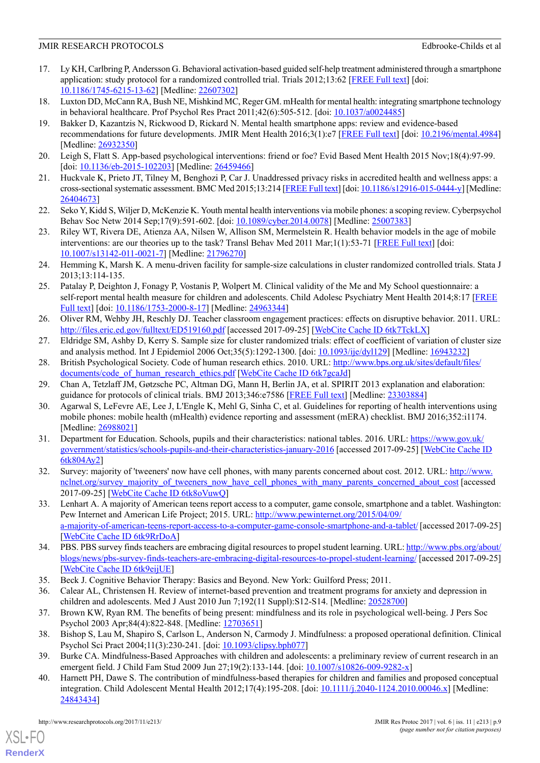- <span id="page-8-0"></span>17. Ly KH, Carlbring P, Andersson G. Behavioral activation-based guided self-help treatment administered through a smartphone application: study protocol for a randomized controlled trial. Trials 2012;13:62 [[FREE Full text](http://trialsjournal.biomedcentral.com/articles/10.1186/1745-6215-13-62)] [doi: [10.1186/1745-6215-13-62](http://dx.doi.org/10.1186/1745-6215-13-62)] [Medline: [22607302](http://www.ncbi.nlm.nih.gov/entrez/query.fcgi?cmd=Retrieve&db=PubMed&list_uids=22607302&dopt=Abstract)]
- <span id="page-8-2"></span><span id="page-8-1"></span>18. Luxton DD, McCann RA, Bush NE, Mishkind MC, Reger GM. mHealth for mental health: integrating smartphone technology in behavioral healthcare. Prof Psychol Res Pract 2011;42(6):505-512. [doi: [10.1037/a0024485](http://dx.doi.org/10.1037/a0024485)]
- 19. Bakker D, Kazantzis N, Rickwood D, Rickard N. Mental health smartphone apps: review and evidence-based recommendations for future developments. JMIR Ment Health 2016;3(1):e7 [\[FREE Full text\]](http://mental.jmir.org/2016/1/e7/) [doi: [10.2196/mental.4984](http://dx.doi.org/10.2196/mental.4984)] [Medline: [26932350](http://www.ncbi.nlm.nih.gov/entrez/query.fcgi?cmd=Retrieve&db=PubMed&list_uids=26932350&dopt=Abstract)]
- <span id="page-8-4"></span><span id="page-8-3"></span>20. Leigh S, Flatt S. App-based psychological interventions: friend or foe? Evid Based Ment Health 2015 Nov;18(4):97-99. [doi: [10.1136/eb-2015-102203\]](http://dx.doi.org/10.1136/eb-2015-102203) [Medline: [26459466\]](http://www.ncbi.nlm.nih.gov/entrez/query.fcgi?cmd=Retrieve&db=PubMed&list_uids=26459466&dopt=Abstract)
- <span id="page-8-5"></span>21. Huckvale K, Prieto JT, Tilney M, Benghozi P, Car J. Unaddressed privacy risks in accredited health and wellness apps: a cross-sectional systematic assessment. BMC Med 2015;13:214 [[FREE Full text\]](http://www.biomedcentral.com/1741-7015/13/214) [doi: [10.1186/s12916-015-0444-y](http://dx.doi.org/10.1186/s12916-015-0444-y)] [Medline: [26404673](http://www.ncbi.nlm.nih.gov/entrez/query.fcgi?cmd=Retrieve&db=PubMed&list_uids=26404673&dopt=Abstract)]
- <span id="page-8-6"></span>22. Seko Y, Kidd S, Wiljer D, McKenzie K. Youth mental health interventions via mobile phones: a scoping review. Cyberpsychol Behav Soc Netw 2014 Sep;17(9):591-602. [doi: [10.1089/cyber.2014.0078](http://dx.doi.org/10.1089/cyber.2014.0078)] [Medline: [25007383](http://www.ncbi.nlm.nih.gov/entrez/query.fcgi?cmd=Retrieve&db=PubMed&list_uids=25007383&dopt=Abstract)]
- <span id="page-8-7"></span>23. Riley WT, Rivera DE, Atienza AA, Nilsen W, Allison SM, Mermelstein R. Health behavior models in the age of mobile interventions: are our theories up to the task? Transl Behav Med 2011 Mar;1(1):53-71 [[FREE Full text](http://europepmc.org/abstract/MED/21796270)] [doi: [10.1007/s13142-011-0021-7](http://dx.doi.org/10.1007/s13142-011-0021-7)] [Medline: [21796270](http://www.ncbi.nlm.nih.gov/entrez/query.fcgi?cmd=Retrieve&db=PubMed&list_uids=21796270&dopt=Abstract)]
- <span id="page-8-8"></span>24. Hemming K, Marsh K. A menu-driven facility for sample-size calculations in cluster randomized controlled trials. Stata J 2013;13:114-135.
- <span id="page-8-9"></span>25. Patalay P, Deighton J, Fonagy P, Vostanis P, Wolpert M. Clinical validity of the Me and My School questionnaire: a self-report mental health measure for children and adolescents. Child Adolesc Psychiatry Ment Health 2014;8:17 [\[FREE](https://capmh.biomedcentral.com/articles/10.1186/1753-2000-8-17) [Full text](https://capmh.biomedcentral.com/articles/10.1186/1753-2000-8-17)] [doi: [10.1186/1753-2000-8-17](http://dx.doi.org/10.1186/1753-2000-8-17)] [Medline: [24963344\]](http://www.ncbi.nlm.nih.gov/entrez/query.fcgi?cmd=Retrieve&db=PubMed&list_uids=24963344&dopt=Abstract)
- <span id="page-8-11"></span><span id="page-8-10"></span>26. Oliver RM, Wehby JH, Reschly DJ. Teacher classroom engagement practices: effects on disruptive behavior. 2011. URL: <http://files.eric.ed.gov/fulltext/ED519160.pdf> [accessed 2017-09-25] [\[WebCite Cache ID 6tk7TckLX\]](http://www.webcitation.org/6tk7TckLX)
- <span id="page-8-12"></span>27. Eldridge SM, Ashby D, Kerry S. Sample size for cluster randomized trials: effect of coefficient of variation of cluster size and analysis method. Int J Epidemiol 2006 Oct;35(5):1292-1300. [doi: [10.1093/ije/dyl129\]](http://dx.doi.org/10.1093/ije/dyl129) [Medline: [16943232](http://www.ncbi.nlm.nih.gov/entrez/query.fcgi?cmd=Retrieve&db=PubMed&list_uids=16943232&dopt=Abstract)]
- <span id="page-8-13"></span>28. British Psychological Society. Code of human research ethics. 2010. URL: [http://www.bps.org.uk/sites/default/files/](http://www.bps.org.uk/sites/default/files/documents/code_of_human_research_ethics.pdf) [documents/code\\_of\\_human\\_research\\_ethics.pdf](http://www.bps.org.uk/sites/default/files/documents/code_of_human_research_ethics.pdf) [\[WebCite Cache ID 6tk7gcaJd](http://www.webcitation.org/6tk7gcaJd)]
- <span id="page-8-14"></span>29. Chan A, Tetzlaff JM, Gøtzsche PC, Altman DG, Mann H, Berlin JA, et al. SPIRIT 2013 explanation and elaboration: guidance for protocols of clinical trials. BMJ 2013;346:e7586 [\[FREE Full text\]](http://www.bmj.com/cgi/pmidlookup?view=long&pmid=23303884) [Medline: [23303884\]](http://www.ncbi.nlm.nih.gov/entrez/query.fcgi?cmd=Retrieve&db=PubMed&list_uids=23303884&dopt=Abstract)
- 30. Agarwal S, LeFevre AE, Lee J, L'Engle K, Mehl G, Sinha C, et al. Guidelines for reporting of health interventions using mobile phones: mobile health (mHealth) evidence reporting and assessment (mERA) checklist. BMJ 2016;352:i1174. [Medline: [26988021](http://www.ncbi.nlm.nih.gov/entrez/query.fcgi?cmd=Retrieve&db=PubMed&list_uids=26988021&dopt=Abstract)]
- <span id="page-8-16"></span><span id="page-8-15"></span>31. Department for Education. Schools, pupils and their characteristics: national tables. 2016. URL: [https://www.gov.uk/](https://www.gov.uk/government/statistics/schools-pupils-and-their-characteristics-january-2016) [government/statistics/schools-pupils-and-their-characteristics-january-2016](https://www.gov.uk/government/statistics/schools-pupils-and-their-characteristics-january-2016) [accessed 2017-09-25] [\[WebCite Cache ID](http://www.webcitation.org/6tk804Ay2) [6tk804Ay2\]](http://www.webcitation.org/6tk804Ay2)
- 32. Survey: majority of 'tweeners' now have cell phones, with many parents concerned about cost. 2012. URL: [http://www.](http://www.nclnet.org/survey_majority_of_tweeners_now_have_cell_phones_with_many_parents_concerned_about_cost) [nclnet.org/survey\\_majority\\_of\\_tweeners\\_now\\_have\\_cell\\_phones\\_with\\_many\\_parents\\_concerned\\_about\\_cost](http://www.nclnet.org/survey_majority_of_tweeners_now_have_cell_phones_with_many_parents_concerned_about_cost) [accessed 2017-09-25] [\[WebCite Cache ID 6tk8oVuwQ\]](http://www.webcitation.org/6tk8oVuwQ)
- <span id="page-8-18"></span><span id="page-8-17"></span>33. Lenhart A. A majority of American teens report access to a computer, game console, smartphone and a tablet. Washington: Pew Internet and American Life Project; 2015. URL: [http://www.pewinternet.org/2015/04/09/](http://www.pewinternet.org/2015/04/09/a-majority-of-american-teens-report-access-to-a-computer-game-console-smartphone-and-a-tablet/) [a-majority-of-american-teens-report-access-to-a-computer-game-console-smartphone-and-a-tablet/](http://www.pewinternet.org/2015/04/09/a-majority-of-american-teens-report-access-to-a-computer-game-console-smartphone-and-a-tablet/) [accessed 2017-09-25] [[WebCite Cache ID 6tk9RrDoA\]](http://www.webcitation.org/6tk9RrDoA)
- <span id="page-8-20"></span><span id="page-8-19"></span>34. PBS. PBS survey finds teachers are embracing digital resources to propel student learning. URL: [http://www.pbs.org/about/](http://www.pbs.org/about/blogs/news/pbs-survey-finds-teachers-are-embracing-digital-resources-to-propel-student-learning/) [blogs/news/pbs-survey-finds-teachers-are-embracing-digital-resources-to-propel-student-learning/](http://www.pbs.org/about/blogs/news/pbs-survey-finds-teachers-are-embracing-digital-resources-to-propel-student-learning/) [accessed 2017-09-25] [[WebCite Cache ID 6tk9eijUE\]](http://www.webcitation.org/6tk9eijUE)
- <span id="page-8-21"></span>35. Beck J. Cognitive Behavior Therapy: Basics and Beyond. New York: Guilford Press; 2011.
- <span id="page-8-22"></span>36. Calear AL, Christensen H. Review of internet-based prevention and treatment programs for anxiety and depression in children and adolescents. Med J Aust 2010 Jun 7;192(11 Suppl):S12-S14. [Medline: [20528700](http://www.ncbi.nlm.nih.gov/entrez/query.fcgi?cmd=Retrieve&db=PubMed&list_uids=20528700&dopt=Abstract)]
- <span id="page-8-23"></span>37. Brown KW, Ryan RM. The benefits of being present: mindfulness and its role in psychological well-being. J Pers Soc Psychol 2003 Apr;84(4):822-848. [Medline: [12703651](http://www.ncbi.nlm.nih.gov/entrez/query.fcgi?cmd=Retrieve&db=PubMed&list_uids=12703651&dopt=Abstract)]
- 38. Bishop S, Lau M, Shapiro S, Carlson L, Anderson N, Carmody J. Mindfulness: a proposed operational definition. Clinical Psychol Sci Pract 2004;11(3):230-241. [doi: [10.1093/clipsy.bph077](http://dx.doi.org/10.1093/clipsy.bph077)]
- 39. Burke CA. Mindfulness-Based Approaches with children and adolescents: a preliminary review of current research in an emergent field. J Child Fam Stud 2009 Jun 27;19(2):133-144. [doi:  $10.1007 \times 10826 - 009 - 9282 - x$ ]
- 40. Harnett PH, Dawe S. The contribution of mindfulness-based therapies for children and families and proposed conceptual integration. Child Adolescent Mental Health 2012;17(4):195-208. [doi: [10.1111/j.2040-1124.2010.00046.x\]](http://dx.doi.org/10.1111/j.2040-1124.2010.00046.x) [Medline: [24843434](http://www.ncbi.nlm.nih.gov/entrez/query.fcgi?cmd=Retrieve&db=PubMed&list_uids=24843434&dopt=Abstract)]